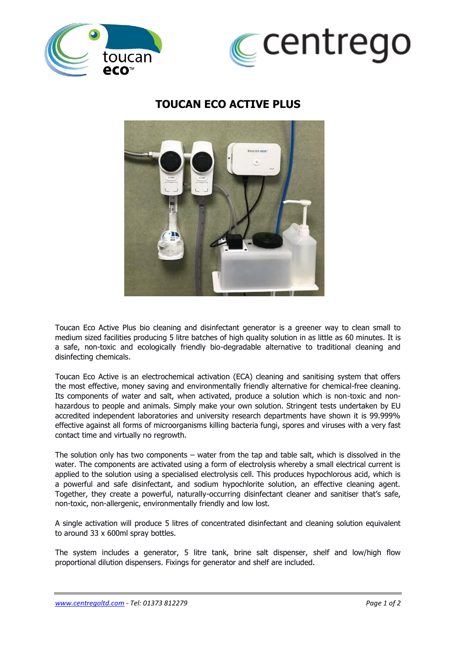



## **TOUCAN ECO ACTIVE PLUS**



Toucan Eco Active Plus bio cleaning and disinfectant generator is a greener way to clean small to medium sized facilities producing 5 litre batches of high quality solution in as little as 60 minutes. It is a safe, non-toxic and ecologically friendly bio-degradable alternative to traditional cleaning and disinfecting chemicals.

Toucan Eco Active is an electrochemical activation (ECA) cleaning and sanitising system that offers the most effective, money saving and environmentally friendly alternative for chemical-free cleaning. Its components of water and salt, when activated, produce a solution which is non-toxic and nonhazardous to people and animals. Simply make your own solution. Stringent tests undertaken by EU accredited independent laboratories and university research departments have shown it is 99.999% effective against all forms of microorganisms killing bacteria fungi, spores and viruses with a very fast contact time and virtually no regrowth.

The solution only has two components – water from the tap and table salt, which is dissolved in the water. The components are activated using a form of electrolysis whereby a small electrical current is applied to the solution using a specialised electrolysis cell. This produces hypochlorous acid, which is a powerful and safe disinfectant, and sodium hypochlorite solution, an effective cleaning agent. Together, they create a powerful, naturally-occurring disinfectant cleaner and sanitiser that's safe, non-toxic, non-allergenic, environmentally friendly and low lost.

A single activation will produce 5 litres of concentrated disinfectant and cleaning solution equivalent to around 33 x 600ml spray bottles.

The system includes a generator, 5 litre tank, brine salt dispenser, shelf and low/high flow proportional dilution dispensers. Fixings for generator and shelf are included.